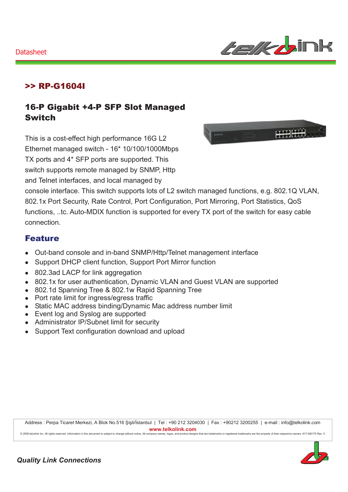

### >> RP-G1604I

### 16-P Gigabit +4-P SFP Slot Managed **Switch**

This is a cost-effect high performance 16G L2 Ethernet managed switch - 16\* 10/100/1000Mbps TX ports and 4\* SFP ports are supported. This switch supports remote managed by SNMP, Http and Telnet interfaces, and local managed by



console interface. This switch supports lots of L2 switch managed functions, e.g. 802.1Q VLAN, 802.1x Port Security, Rate Control, Port Configuration, Port Mirroring, Port Statistics, QoS functions, ..tc. Auto-MDIX function is supported for every TX port of the switch for easy cable connection

#### **Feature**

- Out-band console and in-band SNMP/Http/Telnet management interface  $\bullet$
- Support DHCP client function, Support Port Mirror function  $\bullet$
- 802.3ad LACP for link aggregation
- 802.1x for user authentication, Dynamic VLAN and Guest VLAN are supported
- 802.1d Spanning Tree & 802.1w Rapid Spanning Tree
- Port rate limit for ingress/egress traffic
- Static MAC address binding/Dynamic Mac address number limit
- Event log and Syslog are supported
- Administrator IP/Subnet limit for security
- Support Text configuration download and upload

Address : Perpa Ticaret Merkezi, A Blok No.516 Şişli/İstanbul | Tel : +90 212 3204030 | Fax : +90212 3200255 | e-mail : info@telkolink.com www.telkolink.com

@ 2009 telcolink Inc. All rights reserved. Information in this document is subject to change without notice. All company names, logos, and product designs that are trademarks or registered trademarks are the property of th

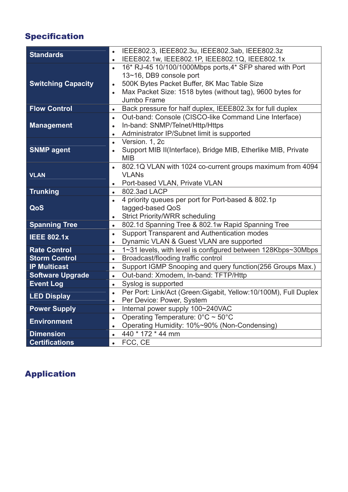## Specification

| <b>Standards</b><br>IEEE802.1w, IEEE802.1P, IEEE802.1Q, IEEE802.1x<br>$\bullet$<br>16* RJ-45 10/100/1000Mbps ports, 4* SFP shared with Port<br>$\bullet$<br>13~16, DB9 console port<br><b>Switching Capacity</b><br>500K Bytes Packet Buffer, 8K Mac Table Size<br>$\bullet$<br>Max Packet Size: 1518 bytes (without tag), 9600 bytes for<br>$\bullet$<br>Jumbo Frame<br>Back pressure for half duplex, IEEE802.3x for full duplex<br><b>Flow Control</b><br>$\bullet$<br>Out-band: Console (CISCO-like Command Line Interface)<br>$\bullet$<br>In-band: SNMP/Telnet/Http/Https<br><b>Management</b><br>$\bullet$ |
|-------------------------------------------------------------------------------------------------------------------------------------------------------------------------------------------------------------------------------------------------------------------------------------------------------------------------------------------------------------------------------------------------------------------------------------------------------------------------------------------------------------------------------------------------------------------------------------------------------------------|
|                                                                                                                                                                                                                                                                                                                                                                                                                                                                                                                                                                                                                   |
|                                                                                                                                                                                                                                                                                                                                                                                                                                                                                                                                                                                                                   |
|                                                                                                                                                                                                                                                                                                                                                                                                                                                                                                                                                                                                                   |
|                                                                                                                                                                                                                                                                                                                                                                                                                                                                                                                                                                                                                   |
|                                                                                                                                                                                                                                                                                                                                                                                                                                                                                                                                                                                                                   |
|                                                                                                                                                                                                                                                                                                                                                                                                                                                                                                                                                                                                                   |
|                                                                                                                                                                                                                                                                                                                                                                                                                                                                                                                                                                                                                   |
|                                                                                                                                                                                                                                                                                                                                                                                                                                                                                                                                                                                                                   |
|                                                                                                                                                                                                                                                                                                                                                                                                                                                                                                                                                                                                                   |
| Administrator IP/Subnet limit is supported<br>$\bullet$                                                                                                                                                                                                                                                                                                                                                                                                                                                                                                                                                           |
| Version. 1, 2c<br>$\bullet$                                                                                                                                                                                                                                                                                                                                                                                                                                                                                                                                                                                       |
| <b>SNMP agent</b><br>Support MIB II(Interface), Bridge MIB, Etherlike MIB, Private<br>$\bullet$                                                                                                                                                                                                                                                                                                                                                                                                                                                                                                                   |
| <b>MIB</b>                                                                                                                                                                                                                                                                                                                                                                                                                                                                                                                                                                                                        |
| 802.1Q VLAN with 1024 co-current groups maximum from 4094                                                                                                                                                                                                                                                                                                                                                                                                                                                                                                                                                         |
| <b>VLAN</b><br><b>VLANs</b>                                                                                                                                                                                                                                                                                                                                                                                                                                                                                                                                                                                       |
| Port-based VLAN, Private VLAN<br>$\bullet$                                                                                                                                                                                                                                                                                                                                                                                                                                                                                                                                                                        |
| <b>Trunking</b><br>802.3ad LACP<br>$\bullet$                                                                                                                                                                                                                                                                                                                                                                                                                                                                                                                                                                      |
| 4 priority queues per port for Port-based & 802.1p<br>$\bullet$                                                                                                                                                                                                                                                                                                                                                                                                                                                                                                                                                   |
| QoS<br>tagged-based QoS                                                                                                                                                                                                                                                                                                                                                                                                                                                                                                                                                                                           |
| <b>Strict Priority/WRR scheduling</b><br>$\bullet$                                                                                                                                                                                                                                                                                                                                                                                                                                                                                                                                                                |
| <b>Spanning Tree</b><br>802.1d Spanning Tree & 802.1w Rapid Spanning Tree<br>$\bullet$                                                                                                                                                                                                                                                                                                                                                                                                                                                                                                                            |
| Support Transparent and Authentication modes<br>$\bullet$<br><b>IEEE 802.1x</b>                                                                                                                                                                                                                                                                                                                                                                                                                                                                                                                                   |
| Dynamic VLAN & Guest VLAN are supported<br>$\bullet$                                                                                                                                                                                                                                                                                                                                                                                                                                                                                                                                                              |
| 1~31 levels, with level is configured between 128Kbps~30Mbps<br><b>Rate Control</b><br>$\bullet$                                                                                                                                                                                                                                                                                                                                                                                                                                                                                                                  |
| Broadcast/flooding traffic control<br><b>Storm Control</b><br>$\bullet$                                                                                                                                                                                                                                                                                                                                                                                                                                                                                                                                           |
| Support IGMP Snooping and query function(256 Groups Max.)<br><b>IP Multicast</b><br>$\bullet$                                                                                                                                                                                                                                                                                                                                                                                                                                                                                                                     |
| <b>Software Upgrade</b><br>Out-band: Xmodem, In-band: TFTP/Http<br>$\bullet$                                                                                                                                                                                                                                                                                                                                                                                                                                                                                                                                      |
| <b>Event Log</b><br>Syslog is supported<br>$\bullet$                                                                                                                                                                                                                                                                                                                                                                                                                                                                                                                                                              |
| Per Port: Link/Act (Green:Gigabit, Yellow:10/100M), Full Duplex<br>$\bullet$<br><b>LED Display</b>                                                                                                                                                                                                                                                                                                                                                                                                                                                                                                                |
| Per Device: Power, System<br>$\bullet$                                                                                                                                                                                                                                                                                                                                                                                                                                                                                                                                                                            |
| Internal power supply 100~240VAC<br><b>Power Supply</b><br>$\bullet$                                                                                                                                                                                                                                                                                                                                                                                                                                                                                                                                              |
| Operating Temperature: $0^{\circ}$ C ~ 50°C<br>$\bullet$<br><b>Environment</b>                                                                                                                                                                                                                                                                                                                                                                                                                                                                                                                                    |
| Operating Humidity: 10%~90% (Non-Condensing)<br>$\bullet$                                                                                                                                                                                                                                                                                                                                                                                                                                                                                                                                                         |
| 440 * 172 * 44 mm<br><b>Dimension</b><br>$\bullet$                                                                                                                                                                                                                                                                                                                                                                                                                                                                                                                                                                |
| FCC, CE<br><b>Certifications</b><br>$\bullet$                                                                                                                                                                                                                                                                                                                                                                                                                                                                                                                                                                     |

# Application